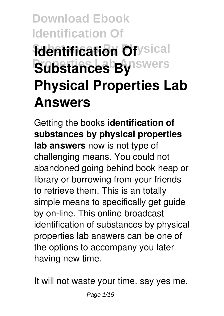# **Download Ebook Identification Of Rdentification Of ysical**  $S$ **ubstances By** Iswers **Physical Properties Lab Answers**

Getting the books **identification of substances by physical properties lab answers** now is not type of challenging means. You could not abandoned going behind book heap or library or borrowing from your friends to retrieve them. This is an totally simple means to specifically get guide by on-line. This online broadcast identification of substances by physical properties lab answers can be one of the options to accompany you later having new time.

It will not waste your time. say yes me,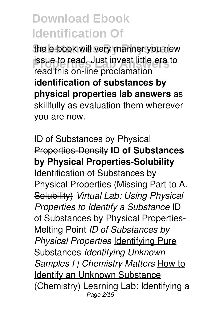the e-book will very manner you new **Properties** Lab Answerse little era to read. Just invest little era to read this on-line proclamation **identification of substances by physical properties lab answers** as skillfully as evaluation them wherever you are now.

ID of Substances by Physical Properties-Density **ID of Substances by Physical Properties-Solubility** Identification of Substances by Physical Properties (Missing Part to A. Solubility) *Virtual Lab: Using Physical Properties to Identify a Substance* ID of Substances by Physical Properties-Melting Point *ID of Substances by Physical Properties* Identifying Pure Substances *Identifying Unknown Samples I | Chemistry Matters* How to Identify an Unknown Substance (Chemistry) Learning Lab: Identifying a Page 2/15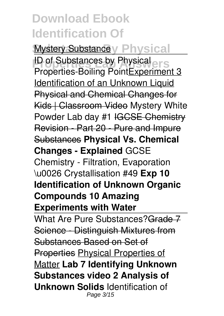**Mystery Substance y Physical ID of Substances by Physical ers** Properties-Boiling PointExperiment 3 Identification of an Unknown Liquid Physical and Chemical Changes for Kids | Classroom Video Mystery White Powder Lab day #1 IGCSE Chemistry Revision - Part 20 - Pure and Impure Substances **Physical Vs. Chemical Changes - Explained** GCSE Chemistry - Filtration, Evaporation \u0026 Crystallisation #49 **Exp 10 Identification of Unknown Organic Compounds 10 Amazing Experiments with Water**

What Are Pure Substances? Grade 7 Science - Distinguish Mixtures from Substances Based on Set of Properties Physical Properties of Matter **Lab 7 Identifying Unknown Substances video 2 Analysis of Unknown Solids** Identification of Page 3/15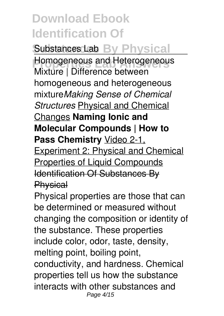Substances Lab By Physical

**Homogeneous and Heterogeneous** Mixture | Difference between homogeneous and heterogeneous mixture*Making Sense of Chemical Structures* Physical and Chemical Changes **Naming Ionic and Molecular Compounds | How to Pass Chemistry** Video 2-1, Experiment 2: Physical and Chemical Properties of Liquid Compounds Identification Of Substances By **Physical** 

Physical properties are those that can be determined or measured without changing the composition or identity of the substance. These properties include color, odor, taste, density, melting point, boiling point, conductivity, and hardness. Chemical properties tell us how the substance interacts with other substances and Page 4/15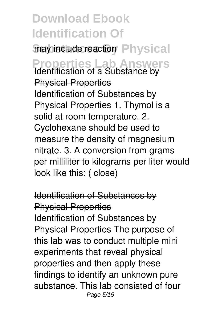may include reaction Physical **Properties Lab Answers** Identification of a Substance by Physical Properties Identification of Substances by Physical Properties 1. Thymol is a solid at room temperature. 2. Cyclohexane should be used to measure the density of magnesium nitrate. 3. A conversion from grams per milliliter to kilograms per liter would look like this: ( close)

Identification of Substances by Physical Properties Identification of Substances by Physical Properties The purpose of this lab was to conduct multiple mini experiments that reveal physical properties and then apply these findings to identify an unknown pure substance. This lab consisted of four Page 5/15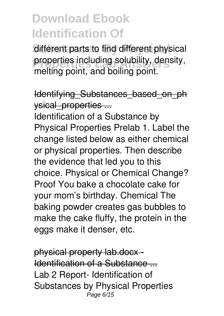different parts to find different physical properties including solubility, density, melting point, and boiling point.

Identifying\_Substances\_based\_on\_ph ysical\_properties ...

Identification of a Substance by Physical Properties Prelab 1. Label the change listed below as either chemical or physical properties. Then describe the evidence that led you to this choice. Physical or Chemical Change? Proof You bake a chocolate cake for your mom's birthday. Chemical The baking powder creates gas bubbles to make the cake fluffy, the protein in the eggs make it denser, etc.

physical property lab.docx - Identification of a Substance ... Lab 2 Report- Identification of Substances by Physical Properties Page 6/15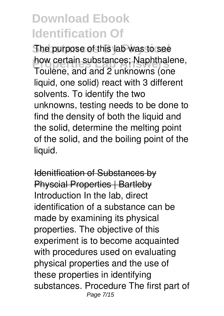The purpose of this lab was to see how certain substances; Naphthalene, Toulene, and and 2 unknowns (one liquid, one solid) react with 3 different solvents. To identify the two unknowns, testing needs to be done to find the density of both the liquid and the solid, determine the melting point of the solid, and the boiling point of the liquid.

Idenitfication of Substances by **Physcial Properties | Bartleby** Introduction In the lab, direct identification of a substance can be made by examining its physical properties. The objective of this experiment is to become acquainted with procedures used on evaluating physical properties and the use of these properties in identifying substances. Procedure The first part of Page 7/15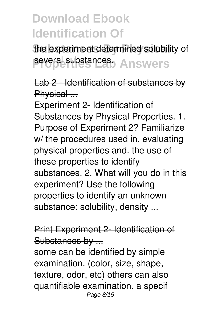the experiment determined solubility of several substances. Answers

Lab 2 - Identification of substances by Physical ...

Experiment 2- Identification of Substances by Physical Properties. 1. Purpose of Experiment 2? Familiarize w/ the procedures used in. evaluating physical properties and. the use of these properties to identify substances. 2. What will you do in this experiment? Use the following properties to identify an unknown substance: solubility, density ...

#### Print Experiment 2- Identification of Substances by ...

some can be identified by simple examination. (color, size, shape, texture, odor, etc) others can also quantifiable examination. a specif Page 8/15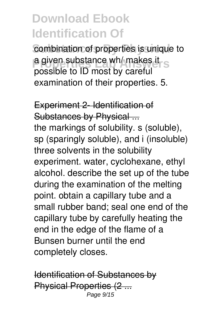combination of properties is unique to **a given substance wh/ makes it s** possible to ID most by careful examination of their properties. 5.

Experiment 2- Identification of Substances by Physical ... the markings of solubility. s (soluble), sp (sparingly soluble), and i (insoluble) three solvents in the solubility experiment. water, cyclohexane, ethyl alcohol. describe the set up of the tube during the examination of the melting point. obtain a capillary tube and a small rubber band; seal one end of the capillary tube by carefully heating the end in the edge of the flame of a Bunsen burner until the end completely closes.

Identification of Substances by Physical Properties (2 ... Page 9/15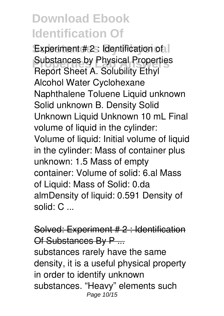Experiment # 2 : Identification of l **Substances by Physical Properties**<br>
Report Chect An Colubility Fibel Report Sheet A. Solubility Ethyl Alcohol Water Cyclohexane Naphthalene Toluene Liquid unknown Solid unknown B. Density Solid Unknown Liquid Unknown 10 mL Final volume of liquid in the cylinder: Volume of liquid: Initial volume of liquid in the cylinder: Mass of container plus unknown: 1.5 Mass of empty container: Volume of solid: 6.al Mass of Liquid: Mass of Solid: 0.da almDensity of liquid: 0.591 Density of solid: C ...

Solved: Experiment # 2 : Identification Of Substances By P ...

substances rarely have the same density, it is a useful physical property in order to identify unknown substances. "Heavy" elements such Page 10/15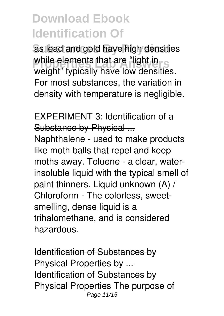as lead and gold have high densities while elements that are "light in weight" typically have low densities. For most substances, the variation in density with temperature is negligible.

EXPERIMENT 3: Identification of a Substance by Physical ...

Naphthalene - used to make products like moth balls that repel and keep moths away. Toluene - a clear, waterinsoluble liquid with the typical smell of paint thinners. Liquid unknown (A) / Chloroform - The colorless, sweetsmelling, dense liquid is a trihalomethane, and is considered hazardous.

Identification of Substances by Physical Properties by ... Identification of Substances by Physical Properties The purpose of Page 11/15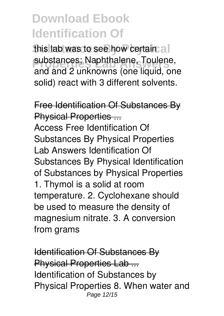this lab was to see how certain all **Properties Lab Answers** substances; Naphthalene, Toulene, and and 2 unknowns (one liquid, one solid) react with 3 different solvents.

Free Identification Of Substances By Physical Properties ... Access Free Identification Of Substances By Physical Properties Lab Answers Identification Of Substances By Physical Identification of Substances by Physical Properties 1. Thymol is a solid at room temperature. 2. Cyclohexane should be used to measure the density of magnesium nitrate. 3. A conversion from grams

Identification Of Substances By Physical Properties Lab ... Identification of Substances by Physical Properties 8. When water and Page 12/15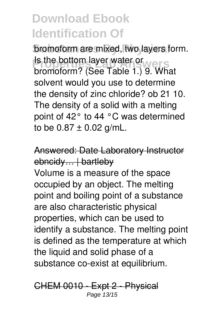**bromoform are mixed, two layers form. Properties Laboration Layer water or Website** bromoform? (See Table 1.) 9. What solvent would you use to determine the density of zinc chloride? ob 21 10. The density of a solid with a melting point of 42° to 44 °C was determined to be  $0.87 \pm 0.02$  g/mL.

Answered: Date Laboratory Instructor ebncidy... | bartleby

Volume is a measure of the space occupied by an object. The melting point and boiling point of a substance are also characteristic physical properties, which can be used to identify a substance. The melting point is defined as the temperature at which the liquid and solid phase of a substance co-exist at equilibrium.

CHEM 0010 - Expt 2 - Physical Page 13/15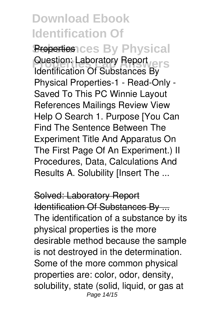**Properties ces By Physical** Question: Laboratory Report Identification Of Substances By Physical Properties-1 - Read-Only - Saved To This PC Winnie Layout References Mailings Review View Help O Search 1. Purpose [You Can Find The Sentence Between The Experiment Title And Apparatus On The First Page Of An Experiment.) II Procedures, Data, Calculations And Results A. Solubility [Insert The ...

Solved: Laboratory Report Identification Of Substances By ... The identification of a substance by its physical properties is the more desirable method because the sample is not destroyed in the determination. Some of the more common physical properties are: color, odor, density, solubility, state (solid, liquid, or gas at Page 14/15